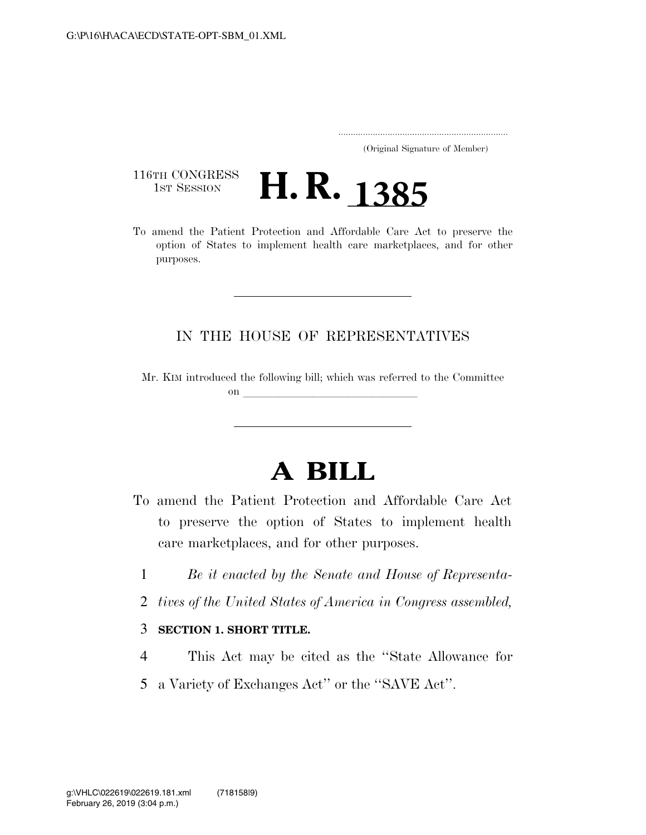..................................................................... (Original Signature of Member)

116TH CONGRESS<br>1st Session



option of States to implement health care marketplaces, and for other purposes.

## IN THE HOUSE OF REPRESENTATIVES

Mr. KIM introduced the following bill; which was referred to the Committee on **later and later and later and later and later and later and later and later and later**  $\alpha$ 

## **A BILL**

- To amend the Patient Protection and Affordable Care Act to preserve the option of States to implement health care marketplaces, and for other purposes.
	- 1 *Be it enacted by the Senate and House of Representa-*
	- 2 *tives of the United States of America in Congress assembled,*

## 3 **SECTION 1. SHORT TITLE.**

- 4 This Act may be cited as the ''State Allowance for
- 5 a Variety of Exchanges Act'' or the ''SAVE Act''.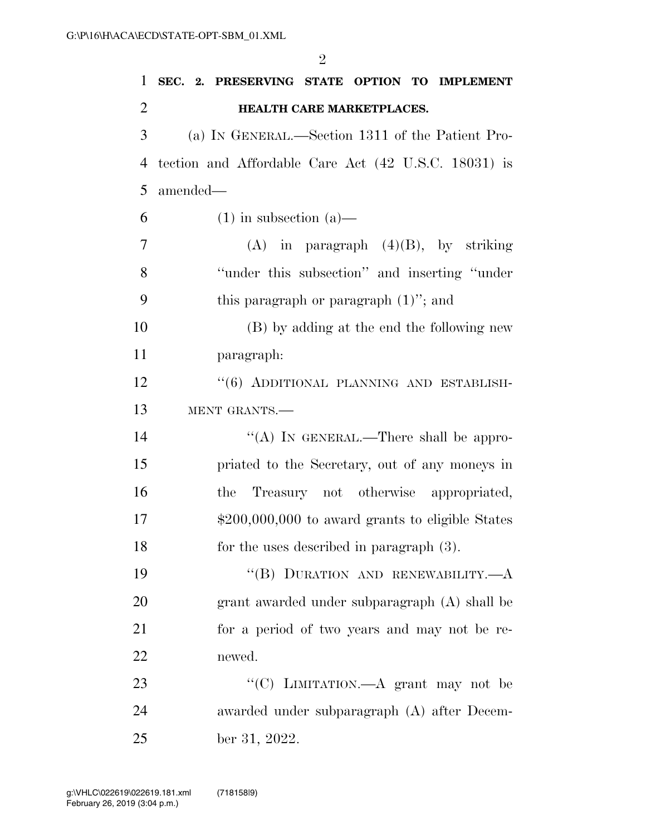| $\mathbf{1}$   | SEC. 2. PRESERVING STATE OPTION TO IMPLEMENT         |
|----------------|------------------------------------------------------|
| $\overline{2}$ | HEALTH CARE MARKETPLACES.                            |
| 3              | (a) IN GENERAL.—Section 1311 of the Patient Pro-     |
| 4              | tection and Affordable Care Act (42 U.S.C. 18031) is |
| 5              | amended—                                             |
| 6              | $(1)$ in subsection $(a)$ —                          |
| 7              | $(A)$ in paragraph $(4)(B)$ , by striking            |
| 8              | "under this subsection" and inserting "under"        |
| 9              | this paragraph or paragraph $(1)$ "; and             |
| 10             | (B) by adding at the end the following new           |
| 11             | paragraph:                                           |
| 12             | "(6) ADDITIONAL PLANNING AND ESTABLISH-              |
| 13             | MENT GRANTS.-                                        |
| 14             | "(A) IN GENERAL.—There shall be appro-               |
| 15             | priated to the Secretary, out of any moneys in       |
| 16             | Treasury not otherwise appropriated,<br>the          |
| 17             | $$200,000,000$ to award grants to eligible States    |
| 18             | for the uses described in paragraph $(3)$ .          |
| 19             | "(B) DURATION AND RENEWABILITY.-                     |
| 20             | grant awarded under subparagraph (A) shall be        |
| 21             | for a period of two years and may not be re-         |
| <u>22</u>      | newed.                                               |
| 23             | "(C) LIMITATION.—A grant may not be                  |
| 24             | awarded under subparagraph (A) after Decem-          |
| 25             | ber 31, 2022.                                        |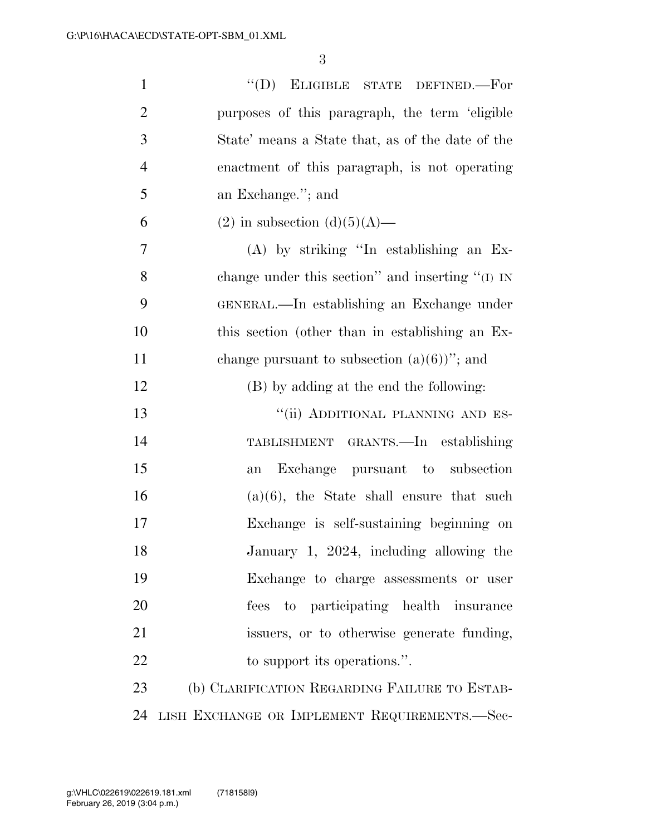| $\mathbf{1}$   | "(D) ELIGIBLE STATE DEFINED.-For                 |
|----------------|--------------------------------------------------|
| $\overline{2}$ | purposes of this paragraph, the term 'eligible   |
| 3              | State' means a State that, as of the date of the |
| $\overline{4}$ | enactment of this paragraph, is not operating    |
| 5              | an Exchange."; and                               |
| 6              | (2) in subsection (d)(5)(A)—                     |
| 7              | $(A)$ by striking "In establishing an Ex-        |
| 8              | change under this section" and inserting "(I) IN |
| 9              | GENERAL.—In establishing an Exchange under       |
| 10             | this section (other than in establishing an Ex-  |
| 11             | change pursuant to subsection $(a)(6)$ "; and    |
| 12             | (B) by adding at the end the following:          |
| 13             | "(ii) ADDITIONAL PLANNING AND ES-                |
| 14             | TABLISHMENT GRANTS.—In establishing              |
| 15             | Exchange pursuant to subsection<br>an            |
| 16             | $(a)(6)$ , the State shall ensure that such      |
| 17             | Exchange is self-sustaining beginning on         |
| 18             | January 1, 2024, including allowing the          |
| 19             | Exchange to charge assessments or user           |
| 20             | fees to participating health insurance           |
| 21             | issuers, or to otherwise generate funding,       |
| 22             | to support its operations.".                     |
| 23             | (b) CLARIFICATION REGARDING FAILURE TO ESTAB-    |
| 24             | LISH EXCHANGE OR IMPLEMENT REQUIREMENTS.-Sec-    |